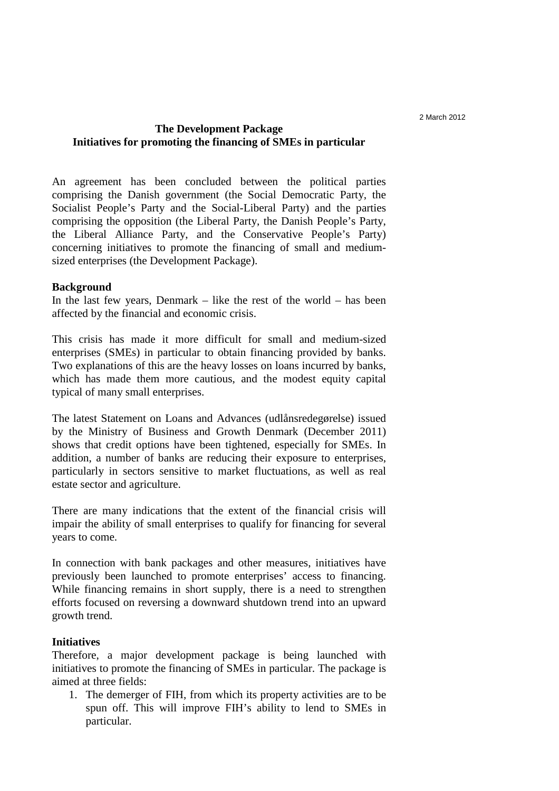# **The Development Package Initiatives for promoting the financing of SMEs in particular**

An agreement has been concluded between the political parties comprising the Danish government (the Social Democratic Party, the Socialist People's Party and the Social-Liberal Party) and the parties comprising the opposition (the Liberal Party, the Danish People's Party, the Liberal Alliance Party, and the Conservative People's Party) concerning initiatives to promote the financing of small and mediumsized enterprises (the Development Package).

### **Background**

In the last few years, Denmark – like the rest of the world – has been affected by the financial and economic crisis.

This crisis has made it more difficult for small and medium-sized enterprises (SMEs) in particular to obtain financing provided by banks. Two explanations of this are the heavy losses on loans incurred by banks, which has made them more cautious, and the modest equity capital typical of many small enterprises.

The latest Statement on Loans and Advances (udlånsredegørelse) issued by the Ministry of Business and Growth Denmark (December 2011) shows that credit options have been tightened, especially for SMEs. In addition, a number of banks are reducing their exposure to enterprises, particularly in sectors sensitive to market fluctuations, as well as real estate sector and agriculture.

There are many indications that the extent of the financial crisis will impair the ability of small enterprises to qualify for financing for several years to come.

In connection with bank packages and other measures, initiatives have previously been launched to promote enterprises' access to financing. While financing remains in short supply, there is a need to strengthen efforts focused on reversing a downward shutdown trend into an upward growth trend.

### **Initiatives**

Therefore, a major development package is being launched with initiatives to promote the financing of SMEs in particular. The package is aimed at three fields:

1. The demerger of FIH, from which its property activities are to be spun off. This will improve FIH's ability to lend to SMEs in particular.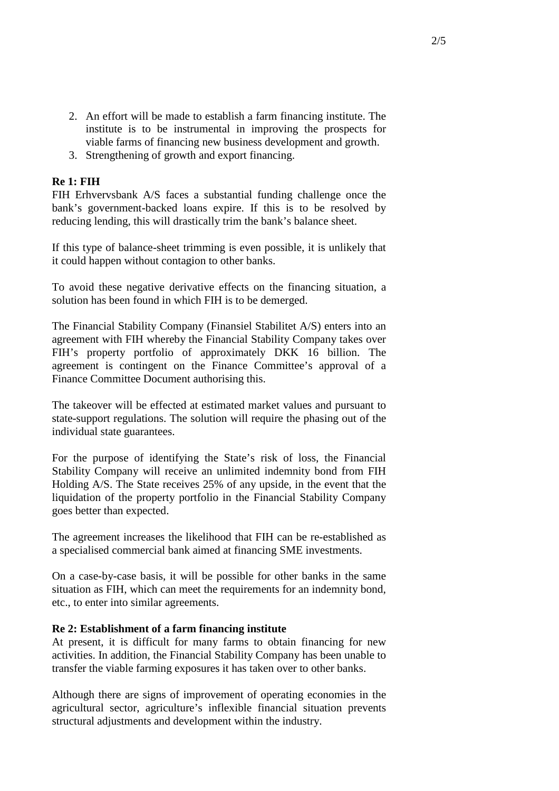- 2. An effort will be made to establish a farm financing institute. The institute is to be instrumental in improving the prospects for viable farms of financing new business development and growth.
- 3. Strengthening of growth and export financing.

# **Re 1: FIH**

FIH Erhvervsbank A/S faces a substantial funding challenge once the bank's government-backed loans expire. If this is to be resolved by reducing lending, this will drastically trim the bank's balance sheet.

If this type of balance-sheet trimming is even possible, it is unlikely that it could happen without contagion to other banks.

To avoid these negative derivative effects on the financing situation, a solution has been found in which FIH is to be demerged.

The Financial Stability Company (Finansiel Stabilitet A/S) enters into an agreement with FIH whereby the Financial Stability Company takes over FIH's property portfolio of approximately DKK 16 billion. The agreement is contingent on the Finance Committee's approval of a Finance Committee Document authorising this.

The takeover will be effected at estimated market values and pursuant to state-support regulations. The solution will require the phasing out of the individual state guarantees.

For the purpose of identifying the State's risk of loss, the Financial Stability Company will receive an unlimited indemnity bond from FIH Holding A/S. The State receives 25% of any upside, in the event that the liquidation of the property portfolio in the Financial Stability Company goes better than expected.

The agreement increases the likelihood that FIH can be re-established as a specialised commercial bank aimed at financing SME investments.

On a case-by-case basis, it will be possible for other banks in the same situation as FIH, which can meet the requirements for an indemnity bond, etc., to enter into similar agreements.

## **Re 2: Establishment of a farm financing institute**

At present, it is difficult for many farms to obtain financing for new activities. In addition, the Financial Stability Company has been unable to transfer the viable farming exposures it has taken over to other banks.

Although there are signs of improvement of operating economies in the agricultural sector, agriculture's inflexible financial situation prevents structural adjustments and development within the industry.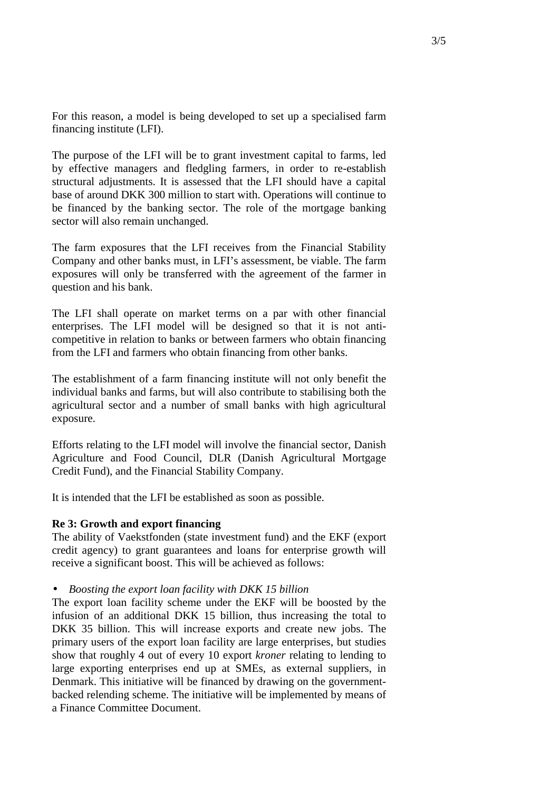For this reason, a model is being developed to set up a specialised farm financing institute (LFI).

The purpose of the LFI will be to grant investment capital to farms, led by effective managers and fledgling farmers, in order to re-establish structural adjustments. It is assessed that the LFI should have a capital base of around DKK 300 million to start with. Operations will continue to be financed by the banking sector. The role of the mortgage banking sector will also remain unchanged.

The farm exposures that the LFI receives from the Financial Stability Company and other banks must, in LFI's assessment, be viable. The farm exposures will only be transferred with the agreement of the farmer in question and his bank.

The LFI shall operate on market terms on a par with other financial enterprises. The LFI model will be designed so that it is not anticompetitive in relation to banks or between farmers who obtain financing from the LFI and farmers who obtain financing from other banks.

The establishment of a farm financing institute will not only benefit the individual banks and farms, but will also contribute to stabilising both the agricultural sector and a number of small banks with high agricultural exposure.

Efforts relating to the LFI model will involve the financial sector, Danish Agriculture and Food Council, DLR (Danish Agricultural Mortgage Credit Fund), and the Financial Stability Company.

It is intended that the LFI be established as soon as possible.

### **Re 3: Growth and export financing**

The ability of Vaekstfonden (state investment fund) and the EKF (export credit agency) to grant guarantees and loans for enterprise growth will receive a significant boost. This will be achieved as follows:

#### • *Boosting the export loan facility with DKK 15 billion*

The export loan facility scheme under the EKF will be boosted by the infusion of an additional DKK 15 billion, thus increasing the total to DKK 35 billion. This will increase exports and create new jobs. The primary users of the export loan facility are large enterprises, but studies show that roughly 4 out of every 10 export *kroner* relating to lending to large exporting enterprises end up at SMEs, as external suppliers, in Denmark. This initiative will be financed by drawing on the governmentbacked relending scheme. The initiative will be implemented by means of a Finance Committee Document.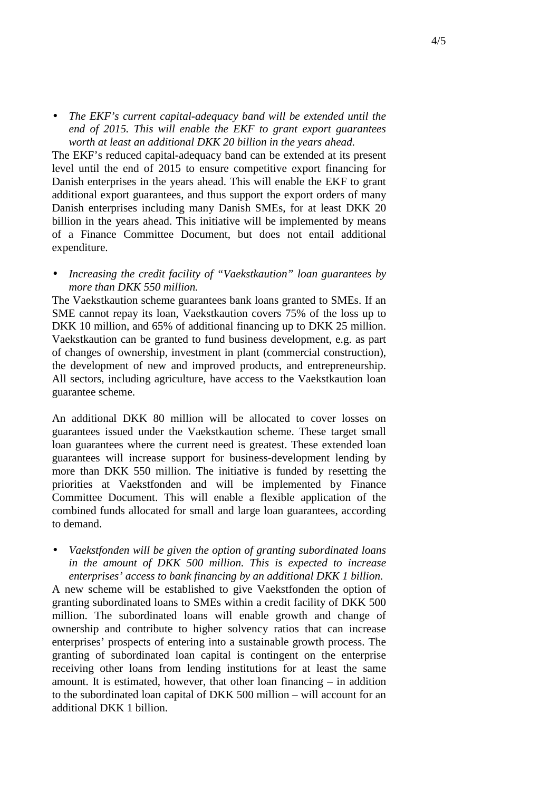• *The EKF's current capital-adequacy band will be extended until the end of 2015. This will enable the EKF to grant export guarantees worth at least an additional DKK 20 billion in the years ahead.*

The EKF's reduced capital-adequacy band can be extended at its present level until the end of 2015 to ensure competitive export financing for Danish enterprises in the years ahead. This will enable the EKF to grant additional export guarantees, and thus support the export orders of many Danish enterprises including many Danish SMEs, for at least DKK 20 billion in the years ahead. This initiative will be implemented by means of a Finance Committee Document, but does not entail additional expenditure.

• *Increasing the credit facility of "Vaekstkaution" loan guarantees by more than DKK 550 million.* 

The Vaekstkaution scheme guarantees bank loans granted to SMEs. If an SME cannot repay its loan, Vaekstkaution covers 75% of the loss up to DKK 10 million, and 65% of additional financing up to DKK 25 million. Vaekstkaution can be granted to fund business development, e.g. as part of changes of ownership, investment in plant (commercial construction), the development of new and improved products, and entrepreneurship. All sectors, including agriculture, have access to the Vaekstkaution loan guarantee scheme.

An additional DKK 80 million will be allocated to cover losses on guarantees issued under the Vaekstkaution scheme. These target small loan guarantees where the current need is greatest. These extended loan guarantees will increase support for business-development lending by more than DKK 550 million. The initiative is funded by resetting the priorities at Vaekstfonden and will be implemented by Finance Committee Document. This will enable a flexible application of the combined funds allocated for small and large loan guarantees, according to demand.

• *Vaekstfonden will be given the option of granting subordinated loans in the amount of DKK 500 million. This is expected to increase enterprises' access to bank financing by an additional DKK 1 billion.* 

A new scheme will be established to give Vaekstfonden the option of granting subordinated loans to SMEs within a credit facility of DKK 500 million. The subordinated loans will enable growth and change of ownership and contribute to higher solvency ratios that can increase enterprises' prospects of entering into a sustainable growth process. The granting of subordinated loan capital is contingent on the enterprise receiving other loans from lending institutions for at least the same amount. It is estimated, however, that other loan financing – in addition to the subordinated loan capital of DKK 500 million – will account for an additional DKK 1 billion.